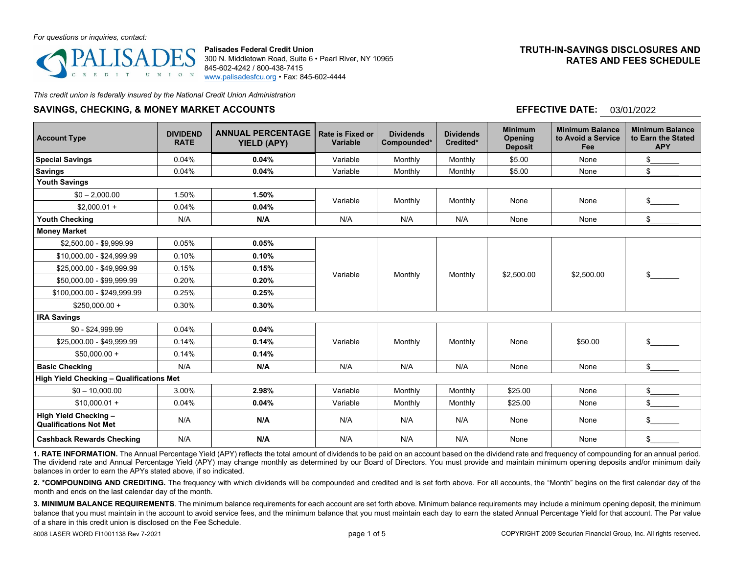#### *For questions or inquiries, contact:*



**Palisades Federal Credit Union** 300 N. Middletown Road, Suite 6 • Pearl River, NY 10965 845-602-4242 / 800-438-7415 [www.palisadesfcu.org](http://www.palisadesfcu.org/) • Fax: 845-602-4444

## **TRUTH-IN-SAVINGS DISCLOSURES AND RATES AND FEES SCHEDULE**

*This credit union is federally insured by the National Credit Union Administration*

## **SAVINGS, CHECKING, & MONEY MARKET ACCOUNTS**

## **EFFECTIVE DATE:** 03/01/2022

| <b>Account Type</b>                                    | <b>DIVIDEND</b><br><b>RATE</b> | <b>ANNUAL PERCENTAGE</b><br><b>YIELD (APY)</b> | Rate is Fixed or<br>Variable | <b>Dividends</b><br>Compounded* | <b>Dividends</b><br>Credited* | <b>Minimum</b><br><b>Opening</b><br><b>Deposit</b> | <b>Minimum Balance</b><br>to Avoid a Service<br>Fee | <b>Minimum Balance</b><br>to Earn the Stated<br><b>APY</b> |  |  |
|--------------------------------------------------------|--------------------------------|------------------------------------------------|------------------------------|---------------------------------|-------------------------------|----------------------------------------------------|-----------------------------------------------------|------------------------------------------------------------|--|--|
| <b>Special Savings</b>                                 | 0.04%                          | 0.04%                                          | Variable                     | Monthly                         | Monthly                       | \$5.00                                             | None                                                | \$                                                         |  |  |
| <b>Savings</b>                                         | 0.04%                          | 0.04%                                          | Variable                     | Monthly                         | Monthly                       | \$5.00                                             | None                                                | \$                                                         |  |  |
| <b>Youth Savings</b>                                   |                                |                                                |                              |                                 |                               |                                                    |                                                     |                                                            |  |  |
| $$0 - 2,000.00$                                        | 1.50%                          | 1.50%                                          | Variable                     | Monthly                         | Monthly                       | None                                               | None                                                | \$                                                         |  |  |
| $$2,000.01 +$                                          | 0.04%                          | 0.04%                                          |                              |                                 |                               |                                                    |                                                     |                                                            |  |  |
| <b>Youth Checking</b>                                  | N/A                            | N/A                                            | N/A                          | N/A                             | N/A                           | None                                               | None                                                | \$                                                         |  |  |
| <b>Money Market</b>                                    |                                |                                                |                              |                                 |                               |                                                    |                                                     |                                                            |  |  |
| \$2,500.00 - \$9,999.99                                | 0.05%                          | 0.05%                                          |                              | Monthly                         | Monthly                       | \$2,500.00                                         | \$2,500.00                                          | \$                                                         |  |  |
| \$10,000.00 - \$24,999.99                              | 0.10%                          | 0.10%                                          |                              |                                 |                               |                                                    |                                                     |                                                            |  |  |
| \$25,000.00 - \$49,999.99                              | 0.15%                          | 0.15%                                          | Variable                     |                                 |                               |                                                    |                                                     |                                                            |  |  |
| \$50,000.00 - \$99.999.99                              | 0.20%                          | 0.20%                                          |                              |                                 |                               |                                                    |                                                     |                                                            |  |  |
| \$100,000.00 - \$249,999.99                            | 0.25%                          | 0.25%                                          |                              |                                 |                               |                                                    |                                                     |                                                            |  |  |
| $$250.000.00 +$                                        | 0.30%                          | 0.30%                                          |                              |                                 |                               |                                                    |                                                     |                                                            |  |  |
| <b>IRA Savings</b>                                     |                                |                                                |                              |                                 |                               |                                                    |                                                     |                                                            |  |  |
| $$0 - $24,999.99$                                      | 0.04%                          | 0.04%                                          |                              | Monthly                         | Monthly                       | None                                               | \$50.00                                             | \$                                                         |  |  |
| \$25,000.00 - \$49,999.99                              | 0.14%                          | 0.14%                                          | Variable                     |                                 |                               |                                                    |                                                     |                                                            |  |  |
| $$50,000.00 +$                                         | 0.14%                          | 0.14%                                          |                              |                                 |                               |                                                    |                                                     |                                                            |  |  |
| <b>Basic Checking</b>                                  | N/A                            | N/A                                            | N/A                          | N/A                             | N/A                           | None                                               | None                                                | \$                                                         |  |  |
| High Yield Checking - Qualifications Met               |                                |                                                |                              |                                 |                               |                                                    |                                                     |                                                            |  |  |
| $$0 - 10.000.00$                                       | 3.00%                          | 2.98%                                          | Variable                     | Monthly                         | Monthly                       | \$25.00                                            | None                                                | \$                                                         |  |  |
| $$10.000.01 +$                                         | 0.04%                          | 0.04%                                          | Variable                     | Monthly                         | Monthly                       | \$25.00                                            | None                                                | \$                                                         |  |  |
| High Yield Checking -<br><b>Qualifications Not Met</b> | N/A                            | N/A                                            | N/A                          | N/A                             | N/A                           | None                                               | None                                                | $\frac{1}{2}$                                              |  |  |
| <b>Cashback Rewards Checking</b>                       | N/A                            | N/A                                            | N/A                          | N/A                             | N/A                           | None                                               | None                                                | \$                                                         |  |  |

**1. RATE INFORMATION.** The Annual Percentage Yield (APY) reflects the total amount of dividends to be paid on an account based on the dividend rate and frequency of compounding for an annual period. The dividend rate and Annual Percentage Yield (APY) may change monthly as determined by our Board of Directors. You must provide and maintain minimum opening deposits and/or minimum daily balances in order to earn the APYs stated above, if so indicated.

2. \*COMPOUNDING AND CREDITING. The frequency with which dividends will be compounded and credited and is set forth above. For all accounts, the "Month" begins on the first calendar day of the month and ends on the last calendar day of the month.

**3. MINIMUM BALANCE REQUIREMENTS**. The minimum balance requirements for each account are set forth above. Minimum balance requirements may include a minimum opening deposit, the minimum balance that you must maintain in the account to avoid service fees, and the minimum balance that you must maintain each day to earn the stated Annual Percentage Yield for that account. The Par value of a share in this credit union is disclosed on the Fee Schedule.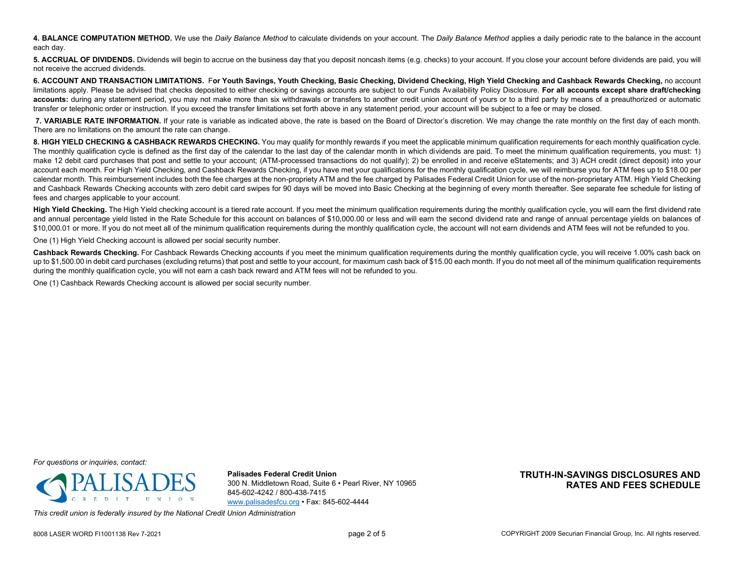**4. BALANCE COMPUTATION METHOD.** We use the *Daily Balance Method* to calculate dividends on your account. The *Daily Balance Method* applies a daily periodic rate to the balance in the account each day.

**5. ACCRUAL OF DIVIDENDS.** Dividends will begin to accrue on the business day that you deposit noncash items (e.g. checks) to your account. If you close your account before dividends are paid, you will not receive the accrued dividends.

**6. ACCOUNT AND TRANSACTION LIMITATIONS.** F**or Youth Savings, Youth Checking, Basic Checking, Dividend Checking, High Yield Checking and Cashback Rewards Checking,** no account limitations apply. Please be advised that checks deposited to either checking or savings accounts are subject to our Funds Availability Policy Disclosure. For all accounts except share draft/checking accounts: during any statement period, you may not make more than six withdrawals or transfers to another credit union account of yours or to a third party by means of a preauthorized or automatic transfer or telephonic order or instruction. If you exceed the transfer limitations set forth above in any statement period, your account will be subject to a fee or may be closed.

**7. VARIABLE RATE INFORMATION.** If your rate is variable as indicated above, the rate is based on the Board of Director's discretion. We may change the rate monthly on the first day of each month. There are no limitations on the amount the rate can change.

8. HIGH YIELD CHECKING & CASHBACK REWARDS CHECKING. You may qualify for monthly rewards if you meet the applicable minimum qualification requirements for each monthly qualification cycle. The monthly qualification cycle is defined as the first day of the calendar to the last day of the calendar month in which dividends are paid. To meet the minimum qualification requirements, you must: 1) make 12 debit card purchases that post and settle to your account; (ATM-processed transactions do not qualify); 2) be enrolled in and receive eStatements; and 3) ACH credit (direct deposit) into your account each month. For High Yield Checking, and Cashback Rewards Checking, if you have met your qualifications for the monthly qualification cycle, we will reimburse you for ATM fees up to \$18.00 per calendar month. This reimbursement includes both the fee charges at the non-propriety ATM and the fee charged by Palisades Federal Credit Union for use of the non-proprietary ATM. High Yield Checking and Cashback Rewards Checking accounts with zero debit card swipes for 90 days will be moved into Basic Checking at the beginning of every month thereafter. See separate fee schedule for listing of fees and charges applicable to your account.

High Yield Checking. The High Yield checking account is a tiered rate account. If you meet the minimum qualification requirements during the monthly qualification cycle, you will earn the first dividend rate and annual percentage vield listed in the Rate Schedule for this account on balances of \$10,000,00 or less and will earn the second dividend rate and range of annual percentage vields on balances of \$10,000.01 or more. If you do not meet all of the minimum qualification requirements during the monthly qualification cycle, the account will not earn dividends and ATM fees will not be refunded to you.

One (1) High Yield Checking account is allowed per social security number.

Cashback Rewards Checking. For Cashback Rewards Checking accounts if you meet the minimum qualification requirements during the monthly qualification cycle, you will receive 1.00% cash back on up to \$1,500.00 in debit card purchases (excluding returns) that post and settle to your account, for maximum cash back of \$15.00 each month. If you do not meet all of the minimum qualification requirements during the monthly qualification cycle, you will not earn a cash back reward and ATM fees will not be refunded to you.

One (1) Cashback Rewards Checking account is allowed per social security number.

*For questions or inquiries, contact:*



**Palisades Federal Credit Union** 300 N. Middletown Road, Suite 6 • Pearl River, NY 10965 845-602-4242 / 800-438-7415 [www.palisadesfcu.org](http://www.palisadesfcu.org/) • Fax: 845-602-4444

**TRUTH-IN-SAVINGS DISCLOSURES AND RATES AND FEES SCHEDULE**

*This credit union is federally insured by the National Credit Union Administration*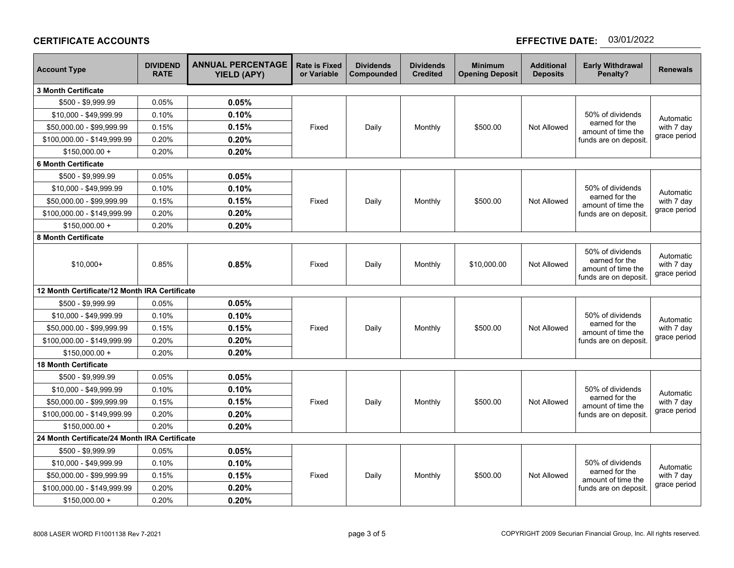## **CERTIFICATE ACCOUNTS**

# **EFFECTIVE DATE: 03/01/2022**

| <b>Account Type</b>                           | <b>DIVIDEND</b><br><b>RATE</b> | <b>ANNUAL PERCENTAGE</b><br><b>YIELD (APY)</b> | <b>Rate is Fixed</b><br>or Variable | <b>Dividends</b><br>Compounded | <b>Dividends</b><br><b>Credited</b> | <b>Minimum</b><br><b>Opening Deposit</b> | <b>Additional</b><br><b>Deposits</b> | <b>Early Withdrawal</b><br>Penalty?                                               | <b>Renewals</b>                         |
|-----------------------------------------------|--------------------------------|------------------------------------------------|-------------------------------------|--------------------------------|-------------------------------------|------------------------------------------|--------------------------------------|-----------------------------------------------------------------------------------|-----------------------------------------|
| <b>3 Month Certificate</b>                    |                                |                                                |                                     |                                |                                     |                                          |                                      |                                                                                   |                                         |
| \$500 - \$9,999.99                            | 0.05%                          | 0.05%                                          |                                     |                                |                                     |                                          |                                      |                                                                                   |                                         |
| \$10,000 - \$49,999.99                        | 0.10%                          | 0.10%                                          |                                     |                                |                                     |                                          |                                      | 50% of dividends                                                                  | Automatic                               |
| \$50,000.00 - \$99,999.99                     | 0.15%                          | 0.15%                                          | Fixed                               | Daily                          | Monthly                             | \$500.00                                 | Not Allowed                          | earned for the<br>amount of time the<br>funds are on deposit.                     | with 7 day<br>grace period              |
| \$100,000.00 - \$149,999.99                   | 0.20%                          | 0.20%                                          |                                     |                                |                                     |                                          |                                      |                                                                                   |                                         |
| $$150,000.00 +$                               | 0.20%                          | 0.20%                                          |                                     |                                |                                     |                                          |                                      |                                                                                   |                                         |
| <b>6 Month Certificate</b>                    |                                |                                                |                                     |                                |                                     |                                          |                                      |                                                                                   |                                         |
| \$500 - \$9,999.99                            | 0.05%                          | 0.05%                                          |                                     |                                | Monthly                             | \$500.00                                 | Not Allowed                          | 50% of dividends<br>earned for the<br>amount of time the<br>funds are on deposit. | Automatic<br>with 7 day<br>grace period |
| \$10,000 - \$49,999.99                        | 0.10%                          | 0.10%                                          |                                     |                                |                                     |                                          |                                      |                                                                                   |                                         |
| \$50,000.00 - \$99,999.99                     | 0.15%                          | 0.15%                                          | Fixed                               | Daily                          |                                     |                                          |                                      |                                                                                   |                                         |
| \$100,000.00 - \$149,999.99                   | 0.20%                          | 0.20%                                          |                                     |                                |                                     |                                          |                                      |                                                                                   |                                         |
| $$150,000.00 +$                               | 0.20%                          | 0.20%                                          |                                     |                                |                                     |                                          |                                      |                                                                                   |                                         |
| 8 Month Certificate                           |                                |                                                |                                     |                                |                                     |                                          |                                      |                                                                                   |                                         |
| $$10,000+$                                    | 0.85%                          | 0.85%                                          | Fixed                               | Daily                          | Monthly                             | \$10,000.00                              | Not Allowed                          | 50% of dividends<br>earned for the<br>amount of time the<br>funds are on deposit. | Automatic<br>with 7 day<br>grace period |
| 12 Month Certificate/12 Month IRA Certificate |                                |                                                |                                     |                                |                                     |                                          |                                      |                                                                                   |                                         |
| \$500 - \$9,999.99                            | 0.05%                          | 0.05%                                          |                                     | Fixed<br>Daily<br>Monthly      |                                     |                                          |                                      | 50% of dividends                                                                  | Automatic                               |
| \$10,000 - \$49,999.99                        | 0.10%                          | 0.10%                                          |                                     |                                |                                     |                                          |                                      |                                                                                   |                                         |
| \$50,000.00 - \$99,999.99                     | 0.15%                          | 0.15%                                          |                                     |                                | \$500.00                            | <b>Not Allowed</b>                       | earned for the<br>amount of time the | with 7 day                                                                        |                                         |
| \$100,000.00 - \$149,999.99                   | 0.20%                          | 0.20%                                          |                                     |                                |                                     |                                          |                                      | funds are on deposit.                                                             | grace period                            |
| $$150,000.00 +$                               | 0.20%                          | 0.20%                                          |                                     |                                |                                     |                                          |                                      |                                                                                   |                                         |
| <b>18 Month Certificate</b>                   |                                |                                                |                                     |                                |                                     |                                          |                                      |                                                                                   |                                         |
| \$500 - \$9,999.99                            | 0.05%                          | 0.05%                                          |                                     |                                |                                     |                                          |                                      |                                                                                   |                                         |
| \$10,000 - \$49,999.99                        | 0.10%                          | 0.10%                                          |                                     | Daily                          | Monthly                             | \$500.00                                 | Not Allowed                          | 50% of dividends<br>earned for the<br>amount of time the<br>funds are on deposit  | Automatic<br>with 7 day<br>grace period |
| \$50,000.00 - \$99,999.99                     | 0.15%                          | 0.15%                                          | Fixed                               |                                |                                     |                                          |                                      |                                                                                   |                                         |
| \$100,000.00 - \$149,999.99                   | 0.20%                          | 0.20%                                          |                                     |                                |                                     |                                          |                                      |                                                                                   |                                         |
| $$150.000.00 +$                               | 0.20%                          | 0.20%                                          |                                     |                                |                                     |                                          |                                      |                                                                                   |                                         |
| 24 Month Certificate/24 Month IRA Certificate |                                |                                                |                                     |                                |                                     |                                          |                                      |                                                                                   |                                         |
| \$500 - \$9,999.99                            | 0.05%                          | 0.05%                                          |                                     |                                | Monthly                             | \$500.00                                 | <b>Not Allowed</b>                   | 50% of dividends<br>earned for the<br>amount of time the<br>funds are on deposit. | Automatic<br>with 7 day<br>grace period |
| \$10,000 - \$49,999.99                        | 0.10%                          | 0.10%                                          |                                     |                                |                                     |                                          |                                      |                                                                                   |                                         |
| \$50,000.00 - \$99,999.99                     | 0.15%                          | 0.15%                                          | Fixed                               | Daily                          |                                     |                                          |                                      |                                                                                   |                                         |
| \$100,000.00 - \$149,999.99                   | 0.20%                          | 0.20%                                          |                                     |                                |                                     |                                          |                                      |                                                                                   |                                         |
| $$150,000.00 +$                               | 0.20%                          | 0.20%                                          |                                     |                                |                                     |                                          |                                      |                                                                                   |                                         |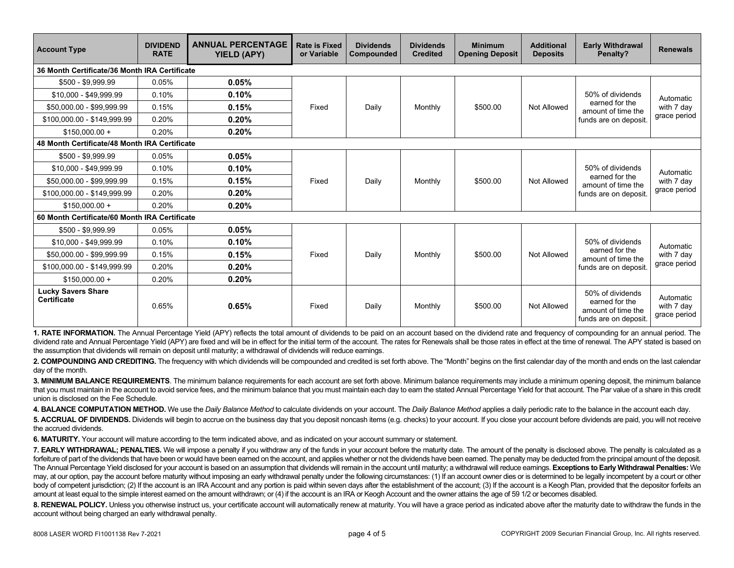| <b>Account Type</b>                             | <b>DIVIDEND</b><br><b>RATE</b> | <b>ANNUAL PERCENTAGE</b><br><b>YIELD (APY)</b> | <b>Rate is Fixed</b><br>or Variable | <b>Dividends</b><br>Compounded | <b>Dividends</b><br><b>Credited</b> | <b>Minimum</b><br><b>Opening Deposit</b> | <b>Additional</b><br><b>Deposits</b> | <b>Early Withdrawal</b><br>Penalty?                                               | <b>Renewals</b>                         |
|-------------------------------------------------|--------------------------------|------------------------------------------------|-------------------------------------|--------------------------------|-------------------------------------|------------------------------------------|--------------------------------------|-----------------------------------------------------------------------------------|-----------------------------------------|
| 36 Month Certificate/36 Month IRA Certificate   |                                |                                                |                                     |                                |                                     |                                          |                                      |                                                                                   |                                         |
| \$500 - \$9,999.99                              | 0.05%                          | 0.05%                                          | Fixed                               | Daily                          | Monthly                             | \$500.00                                 | Not Allowed                          | 50% of dividends<br>earned for the<br>amount of time the<br>funds are on deposit  | Automatic<br>with 7 day<br>grace period |
| \$10,000 - \$49,999.99                          | 0.10%                          | 0.10%                                          |                                     |                                |                                     |                                          |                                      |                                                                                   |                                         |
| \$50,000.00 - \$99,999.99                       | 0.15%                          | 0.15%                                          |                                     |                                |                                     |                                          |                                      |                                                                                   |                                         |
| \$100,000.00 - \$149,999.99                     | 0.20%                          | 0.20%                                          |                                     |                                |                                     |                                          |                                      |                                                                                   |                                         |
| $$150.000.00 +$                                 | 0.20%                          | 0.20%                                          |                                     |                                |                                     |                                          |                                      |                                                                                   |                                         |
| 48 Month Certificate/48 Month IRA Certificate   |                                |                                                |                                     |                                |                                     |                                          |                                      |                                                                                   |                                         |
| \$500 - \$9,999.99                              | 0.05%                          | 0.05%                                          |                                     | Daily                          | Monthly                             | \$500.00                                 | Not Allowed                          | 50% of dividends<br>earned for the<br>amount of time the<br>funds are on deposit. | Automatic<br>with 7 day<br>grace period |
| \$10,000 - \$49,999.99                          | 0.10%                          | 0.10%                                          |                                     |                                |                                     |                                          |                                      |                                                                                   |                                         |
| \$50,000.00 - \$99,999.99                       | 0.15%                          | 0.15%                                          | Fixed                               |                                |                                     |                                          |                                      |                                                                                   |                                         |
| \$100,000.00 - \$149,999.99                     | 0.20%                          | 0.20%                                          |                                     |                                |                                     |                                          |                                      |                                                                                   |                                         |
| $$150.000.00 +$                                 | 0.20%                          | 0.20%                                          |                                     |                                |                                     |                                          |                                      |                                                                                   |                                         |
| 60 Month Certificate/60 Month IRA Certificate   |                                |                                                |                                     |                                |                                     |                                          |                                      |                                                                                   |                                         |
| \$500 - \$9,999.99                              | 0.05%                          | 0.05%                                          |                                     | Daily                          | Monthly                             | \$500.00                                 | Not Allowed                          | 50% of dividends<br>earned for the<br>amount of time the<br>funds are on deposit. | Automatic<br>with 7 day<br>grace period |
| \$10,000 - \$49,999.99                          | 0.10%                          | 0.10%                                          |                                     |                                |                                     |                                          |                                      |                                                                                   |                                         |
| \$50,000.00 - \$99,999.99                       | 0.15%                          | 0.15%                                          | Fixed                               |                                |                                     |                                          |                                      |                                                                                   |                                         |
| \$100.000.00 - \$149.999.99                     | 0.20%                          | 0.20%                                          |                                     |                                |                                     |                                          |                                      |                                                                                   |                                         |
| $$150.000.00 +$                                 | 0.20%                          | 0.20%                                          |                                     |                                |                                     |                                          |                                      |                                                                                   |                                         |
| <b>Lucky Savers Share</b><br><b>Certificate</b> | 0.65%                          | 0.65%                                          | Fixed                               | Daily                          | Monthly                             | \$500.00                                 | Not Allowed                          | 50% of dividends<br>earned for the<br>amount of time the<br>funds are on deposit. | Automatic<br>with 7 day<br>grace period |

**1. RATE INFORMATION.** The Annual Percentage Yield (APY) reflects the total amount of dividends to be paid on an account based on the dividend rate and frequency of compounding for an annual period. The dividend rate and Annual Percentage Yield (APY) are fixed and will be in effect for the initial term of the account. The rates for Renewals shall be those rates in effect at the time of renewal. The APY stated is based on the assumption that dividends will remain on deposit until maturity; a withdrawal of dividends will reduce earnings.

2. COMPOUNDING AND CREDITING. The frequency with which dividends will be compounded and credited is set forth above. The "Month" begins on the first calendar day of the month and ends on the last calendar day of the month.

3. MINIMUM BALANCE REQUIREMENTS. The minimum balance requirements for each account are set forth above. Minimum balance requirements may include a minimum opening deposit, the minimum balance that you must maintain in the account to avoid service fees, and the minimum balance that you must maintain each day to earn the stated Annual Percentage Yield for that account. The Par value of a share in this credit union is disclosed on the Fee Schedule.

**4. BALANCE COMPUTATION METHOD.** We use the *Daily Balance Method* to calculate dividends on your account. The *Daily Balance Method* applies a daily periodic rate to the balance in the account each day.

**5. ACCRUAL OF DIVIDENDS.** Dividends will begin to accrue on the business day that you deposit noncash items (e.g. checks) to your account. If you close your account before dividends are paid, you will not receive the accrued dividends.

**6. MATURITY.** Your account will mature according to the term indicated above, and as indicated on your account summary or statement.

**7. EARLY WITHDRAWAL; PENALTIES.** We will impose a penalty if you withdraw any of the funds in your account before the maturity date. The amount of the penalty is disclosed above. The penalty is calculated as a forfeiture of part of the dividends that have been or would have been earned on the account, and applies whether or not the dividends have been earned. The penalty may be deducted from the principal amount of the deposit. The Annual Percentage Yield disclosed for your account is based on an assumption that dividends will remain in the account until maturity; a withdrawal will reduce earnings. Exceptions to Early Withdrawal Penalties: We may, at our option, pay the account before maturity without imposing an early withdrawal penalty under the following circumstances: (1) If an account owner dies or is determined to be legally incompetent by a court or othe body of competent jurisdiction; (2) If the account is an IRA Account and any portion is paid within seven days after the establishment of the account; (3) If the account is a Keogh Plan, provided that the depositor forfeit amount at least equal to the simple interest earned on the amount withdrawn; or (4) if the account is an IRA or Keogh Account and the owner attains the age of 59 1/2 or becomes disabled.

8. RENEWAL POLICY. Unless you otherwise instruct us, your certificate account will automatically renew at maturity. You will have a grace period as indicated above after the maturity date to withdraw the funds in the account without being charged an early withdrawal penalty.